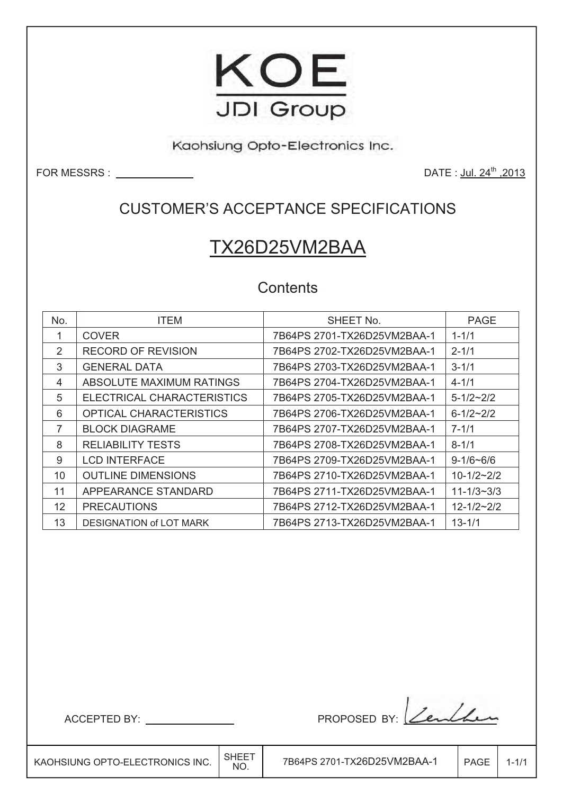

Kaohsiung Opto-Electronics Inc.

FOR MESSRS : <u>DATE : Jul. 24<sup>th</sup> ,2013</u>

### CUSTOMER'S ACCEPTANCE SPECIFICATIONS

# TX26D25VM2BAA

### **Contents**

| No.               | <b>ITEM</b>                    | SHEET No.                   | <b>PAGE</b>      |
|-------------------|--------------------------------|-----------------------------|------------------|
| 1                 | <b>COVER</b>                   | 7B64PS 2701-TX26D25VM2BAA-1 | $1 - 1/1$        |
| $\mathcal{P}$     | <b>RECORD OF REVISION</b>      | 7B64PS 2702-TX26D25VM2BAA-1 | $2 - 1/1$        |
| 3                 | <b>GENERAL DATA</b>            | 7B64PS 2703-TX26D25VM2BAA-1 | $3 - 1/1$        |
| 4                 | ABSOLUTE MAXIMUM RATINGS       | 7B64PS 2704-TX26D25VM2BAA-1 | $4 - 1/1$        |
| 5                 | ELECTRICAL CHARACTERISTICS     | 7B64PS 2705-TX26D25VM2BAA-1 | $5 - 1/2 - 2/2$  |
| 6                 | OPTICAL CHARACTERISTICS        | 7B64PS 2706-TX26D25VM2BAA-1 | $6 - 1/2 - 2/2$  |
| 7                 | <b>BLOCK DIAGRAME</b>          | 7B64PS 2707-TX26D25VM2BAA-1 | $7 - 1/1$        |
| 8                 | <b>RELIABILITY TESTS</b>       | 7B64PS 2708-TX26D25VM2BAA-1 | $8 - 1/1$        |
| 9                 | <b>LCD INTERFACE</b>           | 7B64PS 2709-TX26D25VM2BAA-1 | $9 - 1/6 - 6/6$  |
| 10                | <b>OUTLINE DIMENSIONS</b>      | 7B64PS 2710-TX26D25VM2BAA-1 | $10 - 1/2 - 2/2$ |
| 11                | APPEARANCE STANDARD            |                             | $11 - 1/3 - 3/3$ |
| $12 \overline{ }$ | <b>PRECAUTIONS</b>             |                             | $12 - 1/2 - 2/2$ |
| 13                | <b>DESIGNATION of LOT MARK</b> | 7B64PS 2713-TX26D25VM2BAA-1 | $13 - 1/1$       |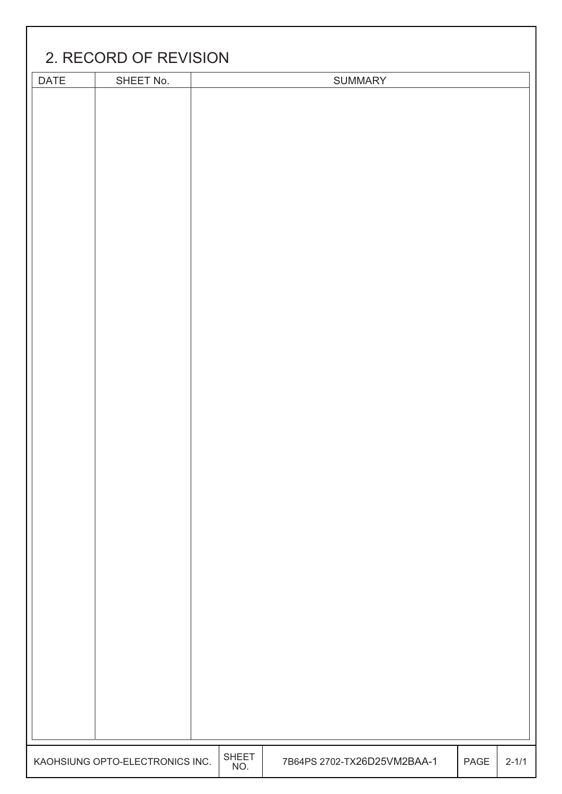| 2. RECORD OF REVISION |                                 |                     |                             |      |           |  |  |
|-----------------------|---------------------------------|---------------------|-----------------------------|------|-----------|--|--|
| DATE                  | SHEET No.                       |                     | <b>SUMMARY</b>              |      |           |  |  |
|                       |                                 |                     |                             |      |           |  |  |
|                       |                                 |                     |                             |      |           |  |  |
|                       |                                 |                     |                             |      |           |  |  |
|                       |                                 |                     |                             |      |           |  |  |
|                       |                                 |                     |                             |      |           |  |  |
|                       |                                 |                     |                             |      |           |  |  |
|                       |                                 |                     |                             |      |           |  |  |
|                       |                                 |                     |                             |      |           |  |  |
|                       |                                 |                     |                             |      |           |  |  |
|                       |                                 |                     |                             |      |           |  |  |
|                       |                                 |                     |                             |      |           |  |  |
|                       |                                 |                     |                             |      |           |  |  |
|                       |                                 |                     |                             |      |           |  |  |
|                       |                                 |                     |                             |      |           |  |  |
|                       |                                 |                     |                             |      |           |  |  |
|                       |                                 |                     |                             |      |           |  |  |
|                       |                                 |                     |                             |      |           |  |  |
|                       |                                 |                     |                             |      |           |  |  |
|                       |                                 |                     |                             |      |           |  |  |
|                       |                                 |                     |                             |      |           |  |  |
|                       |                                 |                     |                             |      |           |  |  |
|                       |                                 |                     |                             |      |           |  |  |
|                       |                                 |                     |                             |      |           |  |  |
|                       |                                 |                     |                             |      |           |  |  |
|                       |                                 |                     |                             |      |           |  |  |
|                       |                                 |                     |                             |      |           |  |  |
|                       |                                 |                     |                             |      |           |  |  |
|                       |                                 |                     |                             |      |           |  |  |
|                       |                                 |                     |                             |      |           |  |  |
|                       |                                 |                     |                             |      |           |  |  |
|                       |                                 |                     |                             |      |           |  |  |
|                       |                                 |                     |                             |      |           |  |  |
|                       |                                 |                     |                             |      |           |  |  |
|                       |                                 |                     |                             |      |           |  |  |
|                       |                                 |                     |                             |      |           |  |  |
|                       |                                 |                     |                             |      |           |  |  |
|                       |                                 |                     |                             |      |           |  |  |
|                       |                                 |                     |                             |      |           |  |  |
|                       |                                 |                     |                             |      |           |  |  |
|                       | KAOHSIUNG OPTO-ELECTRONICS INC. | <b>SHEET</b><br>NO. | 7B64PS 2702-TX26D25VM2BAA-1 | PAGE | $2 - 1/1$ |  |  |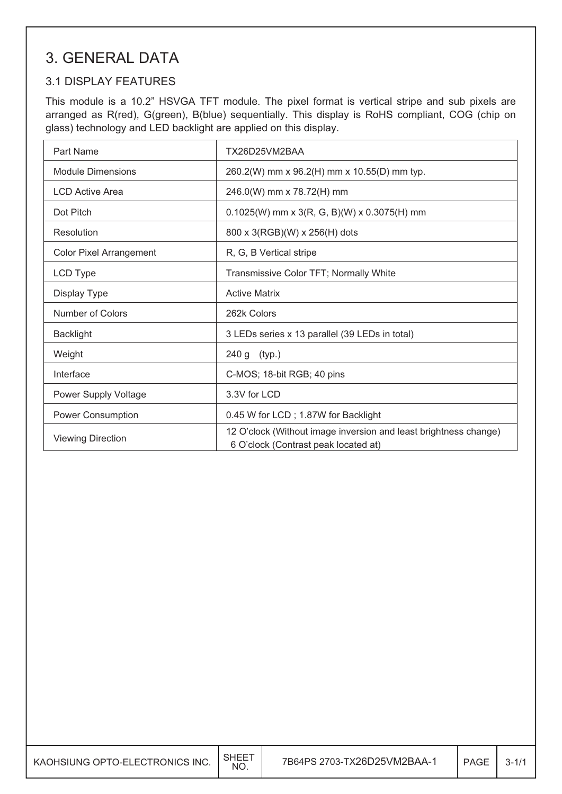### 3. GENERAL DATA

#### 3.1 DISPLAY FEATURES

This module is a 10.2" HSVGA TFT module. The pixel format is vertical stripe and sub pixels are arranged as R(red), G(green), B(blue) sequentially. This display is RoHS compliant, COG (chip on glass) technology and LED backlight are applied on this display.

| Part Name                      | TX26D25VM2BAA                                                                                            |
|--------------------------------|----------------------------------------------------------------------------------------------------------|
| <b>Module Dimensions</b>       | 260.2(W) mm x 96.2(H) mm x 10.55(D) mm typ.                                                              |
| <b>LCD Active Area</b>         | 246.0(W) mm x 78.72(H) mm                                                                                |
| Dot Pitch                      | $0.1025(W)$ mm x 3(R, G, B)(W) x 0.3075(H) mm                                                            |
| Resolution                     | 800 x 3(RGB)(W) x 256(H) dots                                                                            |
| <b>Color Pixel Arrangement</b> | R, G, B Vertical stripe                                                                                  |
| LCD Type                       | Transmissive Color TFT; Normally White                                                                   |
| Display Type                   | <b>Active Matrix</b>                                                                                     |
| Number of Colors               | 262k Colors                                                                                              |
| <b>Backlight</b>               | 3 LEDs series x 13 parallel (39 LEDs in total)                                                           |
| Weight                         | 240 g (typ.)                                                                                             |
| Interface                      | C-MOS; 18-bit RGB; 40 pins                                                                               |
| Power Supply Voltage           | 3.3V for LCD                                                                                             |
| Power Consumption              | 0.45 W for LCD; 1.87W for Backlight                                                                      |
| <b>Viewing Direction</b>       | 12 O'clock (Without image inversion and least brightness change)<br>6 O'clock (Contrast peak located at) |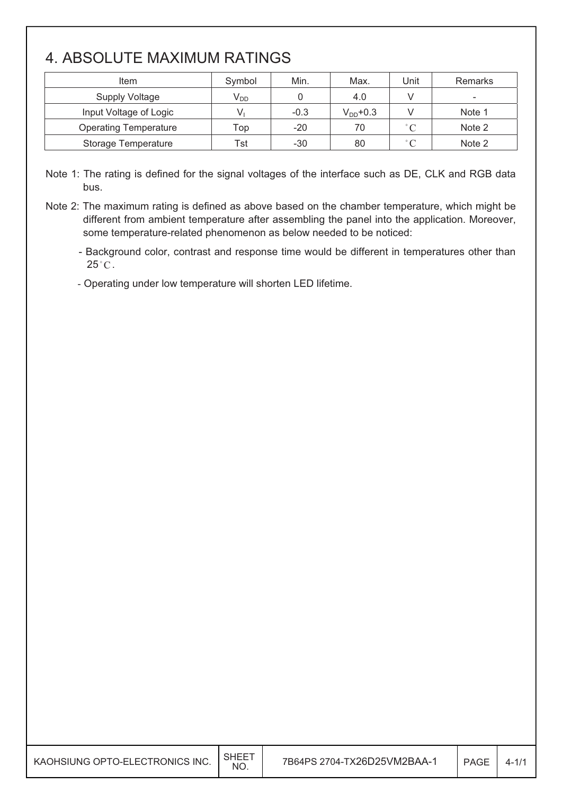## 4. ABSOLUTE MAXIMUM RATINGS

| Item                         | Symbol                     | Min.   | Max.          | Unit              | <b>Remarks</b>           |
|------------------------------|----------------------------|--------|---------------|-------------------|--------------------------|
| <b>Supply Voltage</b>        | $\mathsf{V}_{\mathsf{DD}}$ |        | 4.0           |                   | $\overline{\phantom{0}}$ |
| Input Voltage of Logic       |                            | $-0.3$ | $V_{DD}$ +0.3 |                   | Note 1                   |
| <b>Operating Temperature</b> | Top                        | $-20$  | 70            | $\degree$ C       | Note 2                   |
| <b>Storage Temperature</b>   | Tst                        | $-30$  | 80            | $^{\circ}$ $\cap$ | Note 2                   |

Note 1: The rating is defined for the signal voltages of the interface such as DE, CLK and RGB data bus.

Note 2: The maximum rating is defined as above based on the chamber temperature, which might be different from ambient temperature after assembling the panel into the application. Moreover, some temperature-related phenomenon as below needed to be noticed:

- Background color, contrast and response time would be different in temperatures other than  $25^{\circ}$ C.

- Operating under low temperature will shorten LED lifetime.

| KAOHSIUNG OPTO-ELECTRONICS INC. | NO. | 7B64PS 2704-TX26D25VM2BAA-1 | PAGE | $4 - 1/$ |
|---------------------------------|-----|-----------------------------|------|----------|
|---------------------------------|-----|-----------------------------|------|----------|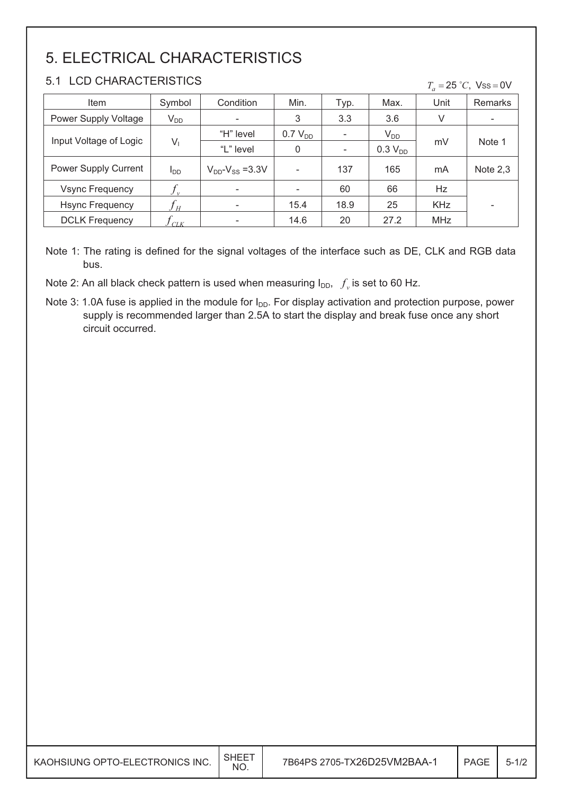# 5. ELECTRICAL CHARACTERISTICS

#### 5.1 LCD CHARACTERISTICS

|  |  |  |  | $T_a = 25$ °C, Vss = 0V |
|--|--|--|--|-------------------------|
|--|--|--|--|-------------------------|

| Item                        | Symbol         | Condition                 | Min.                | Typ.                     | Max.                | Unit       | <b>Remarks</b>           |
|-----------------------------|----------------|---------------------------|---------------------|--------------------------|---------------------|------------|--------------------------|
| Power Supply Voltage        | $V_{DD}$       | $\overline{\phantom{0}}$  | 3                   | 3.3                      | 3.6                 | V          | $\overline{\phantom{a}}$ |
| Input Voltage of Logic      |                | "H" level                 | 0.7 V <sub>DD</sub> |                          | $V_{DD}$            |            | Note 1                   |
|                             | V <sub>i</sub> | "L" level                 | 0                   | $\overline{\phantom{a}}$ | 0.3 V <sub>DD</sub> | mV         |                          |
| <b>Power Supply Current</b> | $I_{DD}$       | $V_{DD}$ - $V_{SS}$ =3.3V |                     | 137                      | 165                 | mA         | Note $2,3$               |
| <b>Vsync Frequency</b>      |                | $\overline{\phantom{a}}$  |                     | 60                       | 66                  | Hz         |                          |
| <b>Hsync Frequency</b>      |                | -                         | 15.4                | 18.9                     | 25                  | <b>KHz</b> | -                        |
| <b>DCLK Frequency</b>       | C L K          |                           | 14.6                | 20                       | 27.2                | <b>MHz</b> |                          |

Note 1: The rating is defined for the signal voltages of the interface such as DE, CLK and RGB data bus.

Note 2: An all black check pattern is used when measuring  $I_{DD}$ ,  $f_y$  is set to 60 Hz.

Note 3: 1.0A fuse is applied in the module for  $I_{DD}$ . For display activation and protection purpose, power supply is recommended larger than 2.5A to start the display and break fuse once any short circuit occurred.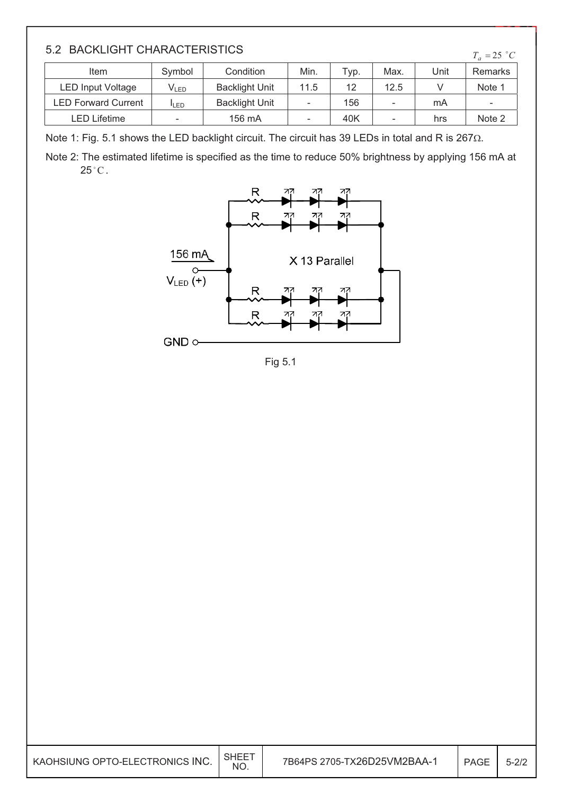| 5.2 BACKLIGHT CHARACTERISTICS<br>$T_a = 25 °C$ |                  |                       |      |      |      |      |         |
|------------------------------------------------|------------------|-----------------------|------|------|------|------|---------|
| Item                                           | Symbol           | Condition             | Min. | Typ. | Max. | Unit | Remarks |
| <b>LED Input Voltage</b>                       | V <sub>led</sub> | <b>Backlight Unit</b> | 11.5 | 12   | 12.5 |      | Note 1  |
| <b>LED Forward Current</b>                     | <b>I</b> LED     | <b>Backlight Unit</b> |      | 156  | -    | mA   |         |
| LED Lifetime                                   |                  | 156 mA                |      | 40K  |      | hrs  | Note 2  |

Note 1: Fig. 5.1 shows the LED backlight circuit. The circuit has 39 LEDs in total and R is 267 $\Omega$ .

Note 2: The estimated lifetime is specified as the time to reduce 50% brightness by applying 156 mA at  $25^{\circ}$ C.



Fig 5.1

| KAOHSIUNG OPTO-ELECTRONICS INC. | <b>SHEET</b><br>NO. | 7B64PS 2705-TX26D25VM2BAA-1 | <b>PAGE</b> | $5 - 2/2$ |
|---------------------------------|---------------------|-----------------------------|-------------|-----------|
|---------------------------------|---------------------|-----------------------------|-------------|-----------|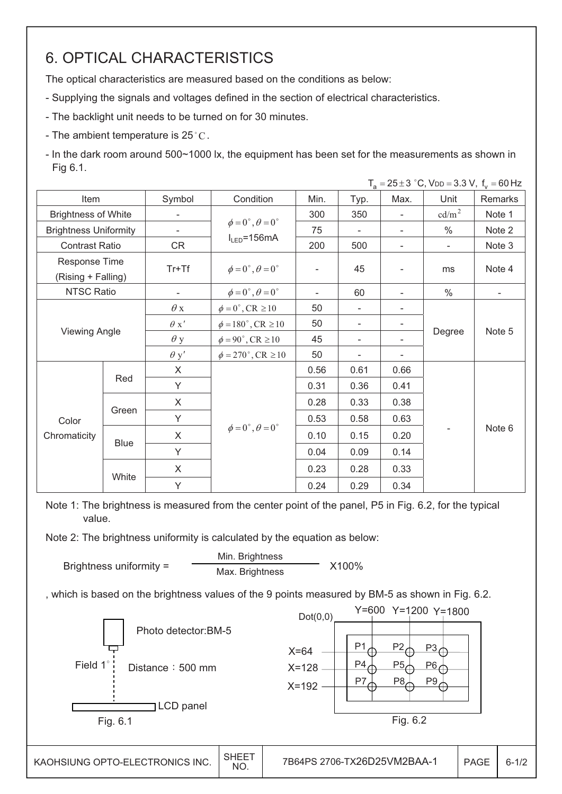## 6. OPTICAL CHARACTERISTICS

The optical characteristics are measured based on the conditions as below:

- Supplying the signals and voltages defined in the section of electrical characteristics.
- The backlight unit needs to be turned on for 30 minutes.
- The ambient temperature is  $25^{\circ}$ C.
- In the dark room around 500~1000 lx, the equipment has been set for the measurements as shown in Fig 6.1.

|                                     |                      |                          |                                        |                          |                          |                          | $T_a = 25 \pm 3$ °C, V <sub>DD</sub> = 3.3 V, $f_v = 60$ Hz |                          |
|-------------------------------------|----------------------|--------------------------|----------------------------------------|--------------------------|--------------------------|--------------------------|-------------------------------------------------------------|--------------------------|
| Item                                | Symbol<br>Condition  |                          | Min.                                   | Typ.                     | Max.                     | Unit                     | Remarks                                                     |                          |
| <b>Brightness of White</b>          |                      |                          |                                        | 300                      | 350                      | $\overline{\phantom{a}}$ | cd/m <sup>2</sup>                                           | Note 1                   |
| <b>Brightness Uniformity</b>        |                      | $\overline{\phantom{0}}$ | $\phi = 0^\circ$ , $\theta = 0^\circ$  | 75                       | $\overline{\phantom{a}}$ |                          | $\frac{0}{0}$                                               | Note 2                   |
| <b>Contrast Ratio</b>               |                      | CR                       | $I_{LED} = 156mA$                      | 200                      | 500                      | -                        | $\overline{\phantom{a}}$                                    | Note 3                   |
| Response Time<br>(Rising + Falling) |                      | $Tr+Tf$                  | $\phi = 0^{\circ}, \theta = 0^{\circ}$ | $\qquad \qquad -$        | 45                       |                          | ms                                                          | Note 4                   |
| <b>NTSC Ratio</b>                   |                      | $\overline{\phantom{a}}$ | $\phi = 0^\circ$ , $\theta = 0^\circ$  | $\overline{\phantom{0}}$ | 60                       |                          | $\frac{0}{0}$                                               | $\overline{\phantom{a}}$ |
|                                     |                      | $\theta$ x               | $\phi = 0^\circ$ , CR $\geq 10$        | 50                       | ÷,                       |                          |                                                             |                          |
|                                     | <b>Viewing Angle</b> |                          | $\phi = 180^{\circ}$ , CR $\geq 10$    | 50                       | $\overline{\phantom{0}}$ |                          |                                                             |                          |
|                                     |                      |                          | $\phi = 90^\circ$ , CR $\geq 10$       | 45                       | $\overline{\phantom{a}}$ |                          | Degree                                                      | Note 5                   |
|                                     |                      |                          | $\phi = 270^\circ$ , CR $\geq 10$      | 50                       | -                        |                          |                                                             |                          |
|                                     |                      | X                        |                                        | 0.56                     | 0.61                     | 0.66                     |                                                             |                          |
|                                     | Red                  | Y                        |                                        | 0.31                     | 0.36                     | 0.41                     |                                                             |                          |
|                                     |                      | X                        |                                        | 0.28                     | 0.33                     | 0.38                     |                                                             |                          |
| Color                               | Green                | Y                        |                                        | 0.53                     | 0.58                     | 0.63                     |                                                             |                          |
| Chromaticity                        |                      | X                        | $\phi = 0^\circ$ , $\theta = 0^\circ$  | 0.10                     | 0.15                     | 0.20                     |                                                             | Note 6                   |
|                                     | <b>Blue</b>          | Y                        |                                        | 0.04                     | 0.09                     | 0.14                     |                                                             |                          |
|                                     |                      | X                        |                                        | 0.23                     | 0.28                     | 0.33                     |                                                             |                          |
|                                     | White                | Υ                        |                                        | 0.24                     | 0.29                     | 0.34                     |                                                             |                          |

Note 1: The brightness is measured from the center point of the panel, P5 in Fig. 6.2, for the typical value.

Note 2: The brightness uniformity is calculated by the equation as below:



, which is based on the brightness values of the 9 points measured by BM-5 as shown in Fig. 6.2.

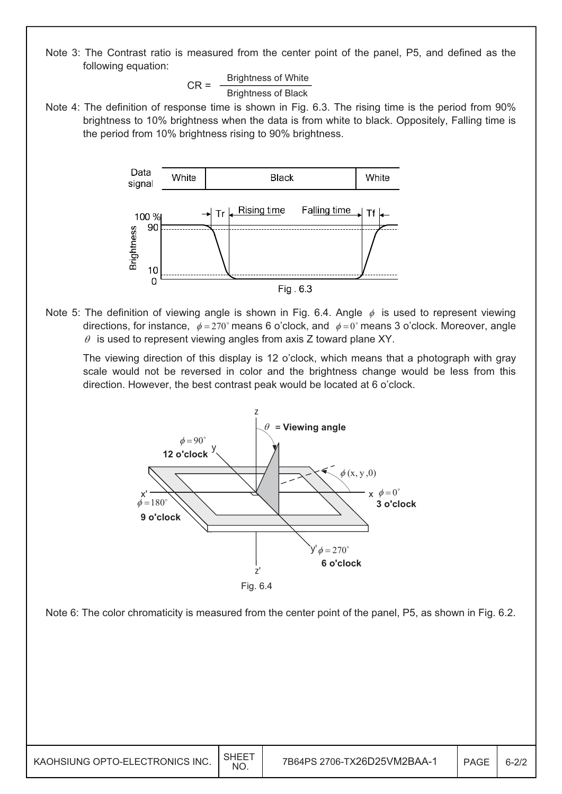Note 3: The Contrast ratio is measured from the center point of the panel, P5, and defined as the following equation:

> $CR =$  Brightness of White Brightness of Black

Note 4: The definition of response time is shown in Fig. 6.3. The rising time is the period from 90% brightness to 10% brightness when the data is from white to black. Oppositely, Falling time is the period from 10% brightness rising to 90% brightness.



Note 5: The definition of viewing angle is shown in Fig. 6.4. Angle  $\phi$  is used to represent viewing directions, for instance,  $\phi = 270^{\circ}$  means 6 o'clock, and  $\phi = 0^{\circ}$  means 3 o'clock. Moreover, angle  $\theta$  is used to represent viewing angles from axis Z toward plane XY.

 The viewing direction of this display is 12 o'clock, which means that a photograph with gray scale would not be reversed in color and the brightness change would be less from this direction. However, the best contrast peak would be located at 6 o'clock.





| KAOHSIUNG OPTO-ELECTRONICS INC. | SHEE <sup>-</sup><br><b>NO</b> |  | PAGE | $6 - 2/7$ |
|---------------------------------|--------------------------------|--|------|-----------|
|---------------------------------|--------------------------------|--|------|-----------|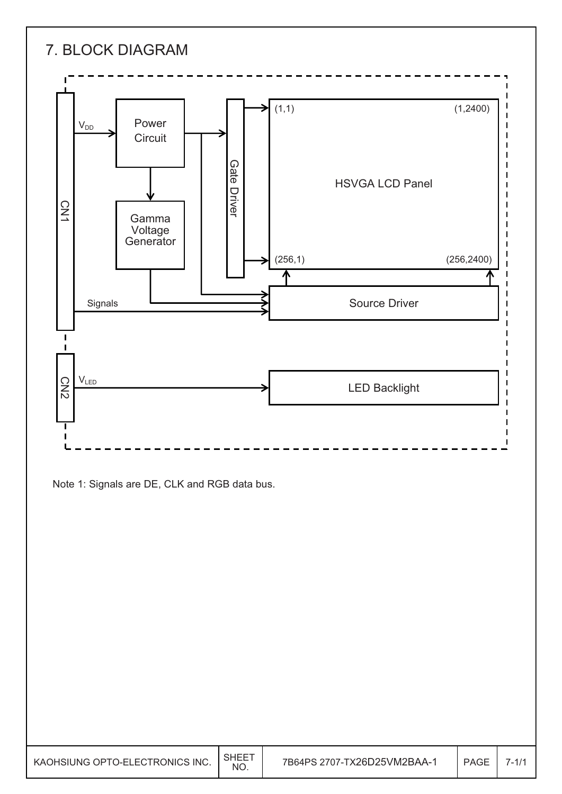

Note 1: Signals are DE, CLK and RGB data bus.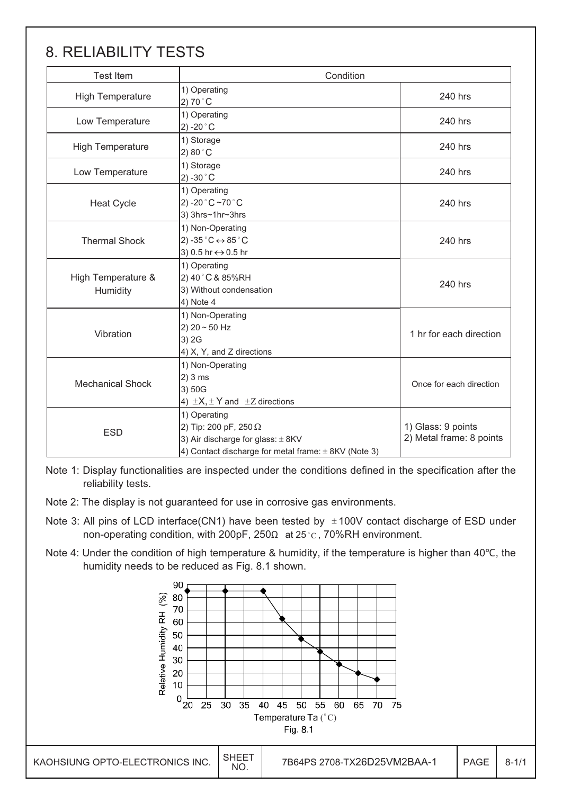## 8. RELIABILITY TESTS

| <b>Test Item</b>               | Condition                                                                                                                                  |                                                |  |
|--------------------------------|--------------------------------------------------------------------------------------------------------------------------------------------|------------------------------------------------|--|
| <b>High Temperature</b>        | 1) Operating<br>2) 70 $^{\circ}$ C                                                                                                         | 240 hrs                                        |  |
| Low Temperature                | 1) Operating<br>2) -20 $^{\circ}$ C                                                                                                        | 240 hrs                                        |  |
| <b>High Temperature</b>        | 1) Storage<br>$2) 80^\circ \text{C}$                                                                                                       | 240 hrs                                        |  |
| Low Temperature                | 1) Storage<br>2) -30 $^{\circ}$ C                                                                                                          | 240 hrs                                        |  |
| <b>Heat Cycle</b>              | 1) Operating<br>2) -20 $^{\circ}$ C ~70 $^{\circ}$ C<br>3) 3hrs~1hr~3hrs                                                                   | 240 hrs                                        |  |
| <b>Thermal Shock</b>           | 1) Non-Operating<br>2) -35 $^{\circ}$ C $\leftrightarrow$ 85 $^{\circ}$ C<br>3) 0.5 hr ↔ 0.5 hr                                            | 240 hrs                                        |  |
| High Temperature &<br>Humidity | 1) Operating<br>2) 40° C & 85% RH<br>3) Without condensation<br>4) Note 4                                                                  | 240 hrs                                        |  |
| Vibration                      | 1) Non-Operating<br>2) $20 - 50$ Hz<br>3) 2G<br>4) X, Y, and Z directions                                                                  | 1 hr for each direction                        |  |
| <b>Mechanical Shock</b>        | 1) Non-Operating<br>2)3 ms<br>3) 50G<br>4) $\pm X, \pm Y$ and $\pm Z$ directions                                                           | Once for each direction                        |  |
| <b>ESD</b>                     | 1) Operating<br>2) Tip: 200 pF, 250 Ω<br>3) Air discharge for glass: $\pm$ 8KV<br>4) Contact discharge for metal frame: $\pm$ 8KV (Note 3) | 1) Glass: 9 points<br>2) Metal frame: 8 points |  |

Note 1: Display functionalities are inspected under the conditions defined in the specification after the reliability tests.

- Note 2: The display is not guaranteed for use in corrosive gas environments.
- Note 3: All pins of LCD interface(CN1) have been tested by  $\pm$ 100V contact discharge of ESD under non-operating condition, with 200pF, 250 $\Omega$  at 25 $^{\circ}$ c, 70%RH environment.
- Note 4: Under the condition of high temperature & humidity, if the temperature is higher than 40°C, the humidity needs to be reduced as Fig. 8.1 shown.

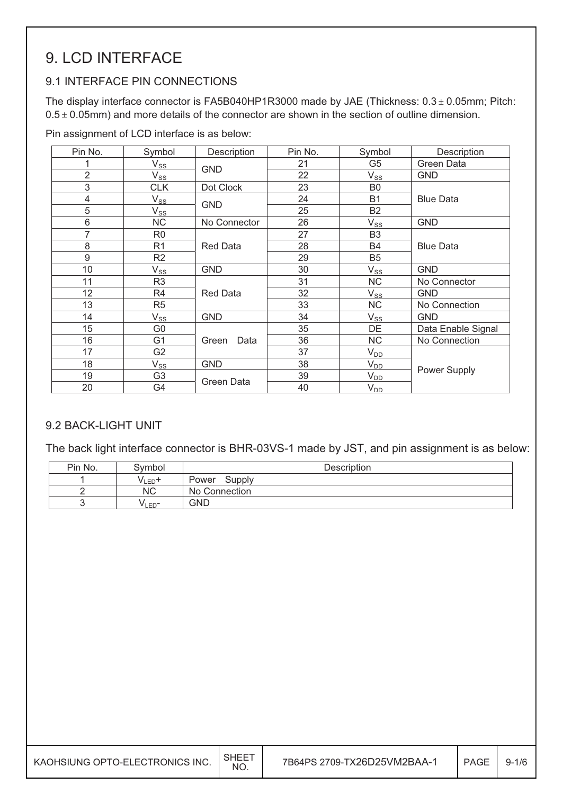## 9. LCD INTERFACE

### 9.1 INTERFACE PIN CONNECTIONS

The display interface connector is FA5B040HP1R3000 made by JAE (Thickness:  $0.3 \pm 0.05$ mm; Pitch:  $0.5 \pm 0.05$ mm) and more details of the connector are shown in the section of outline dimension.

Pin assignment of LCD interface is as below:

| Pin No.        | Symbol                     | Description     | Pin No. | Symbol         | Description        |
|----------------|----------------------------|-----------------|---------|----------------|--------------------|
|                | $\mathsf{V}_{\mathsf{SS}}$ | <b>GND</b>      | 21      | G <sub>5</sub> | Green Data         |
| $\overline{2}$ | $V_{SS}$                   |                 | 22      | $V_{SS}$       | <b>GND</b>         |
| 3              | <b>CLK</b>                 | Dot Clock       | 23      | B <sub>0</sub> |                    |
| 4              | $\mathsf{V}_{\texttt{SS}}$ | <b>GND</b>      | 24      | <b>B1</b>      | <b>Blue Data</b>   |
| 5              | $\mathsf{V}_{\mathsf{SS}}$ |                 | 25      | B <sub>2</sub> |                    |
| 6              | <b>NC</b>                  | No Connector    | 26      | $V_{SS}$       | <b>GND</b>         |
| 7              | R <sub>0</sub>             |                 | 27      | B <sub>3</sub> |                    |
| 8              | R <sub>1</sub>             | <b>Red Data</b> | 28      | B4             | <b>Blue Data</b>   |
| 9              | R <sub>2</sub>             |                 | 29      | B <sub>5</sub> |                    |
| 10             | $V_{SS}$                   | <b>GND</b>      | 30      | $V_{SS}$       | <b>GND</b>         |
| 11             | R <sub>3</sub>             |                 | 31      | NC             | No Connector       |
| 12             | R <sub>4</sub>             | <b>Red Data</b> | 32      | $V_{SS}$       | <b>GND</b>         |
| 13             | R <sub>5</sub>             |                 | 33      | <b>NC</b>      | No Connection      |
| 14             | $\mathsf{V}_{\mathsf{SS}}$ | <b>GND</b>      | 34      | $V_{SS}$       | <b>GND</b>         |
| 15             | G <sub>0</sub>             |                 | 35      | DE             | Data Enable Signal |
| 16             | G1                         | Green<br>Data   | 36      | <b>NC</b>      | No Connection      |
| 17             | G <sub>2</sub>             |                 | 37      | $V_{DD}$       |                    |
| 18             | $V_{SS}$                   | <b>GND</b>      | 38      | $V_{DD}$       |                    |
| 19             | G <sub>3</sub>             | Green Data      | 39      | $V_{DD}$       | Power Supply       |
| 20             | G4                         |                 | 40      | $V_{DD}$       |                    |

#### 9.2 BACK-LIGHT UNIT

The back light interface connector is BHR-03VS-1 made by JST, and pin assignment is as below:

| Pin No. | Symbol             | Description     |
|---------|--------------------|-----------------|
|         | V LED <sup>4</sup> | Supply<br>Power |
|         | ΝC                 | No Connection   |
|         | V <sub>LED</sub> - | <b>GND</b>      |

| KAOHSIUNG OPTO-ELECTRONICS INC. | <b>SHEET</b><br><b>NO</b> | 7B64PS 2709-TX26D25VM2BAA-1 | PAGE | $9 - 1/6$ |
|---------------------------------|---------------------------|-----------------------------|------|-----------|
|---------------------------------|---------------------------|-----------------------------|------|-----------|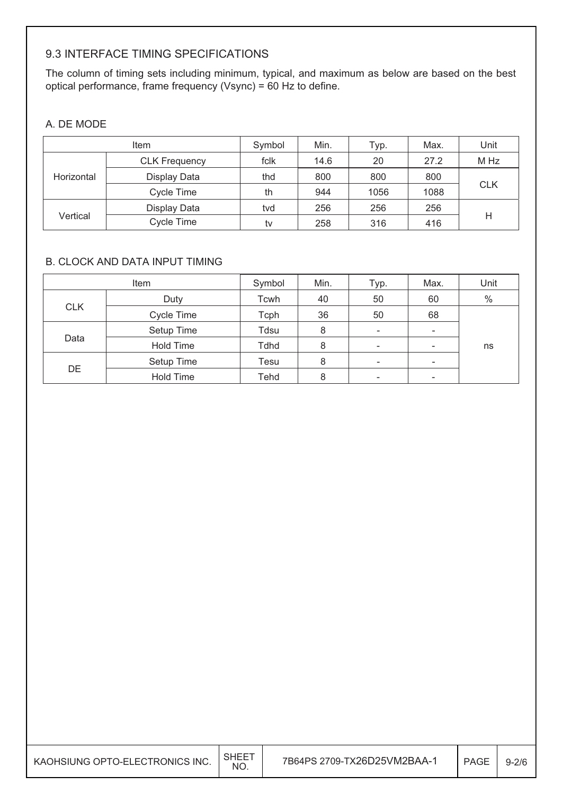#### 9.3 INTERFACE TIMING SPECIFICATIONS

The column of timing sets including minimum, typical, and maximum as below are based on the best optical performance, frame frequency (Vsync) = 60 Hz to define.

#### A. DE MODE

|            | Item                 | Symbol                  | Min. | Typ. | Max. | Unit       |
|------------|----------------------|-------------------------|------|------|------|------------|
|            | <b>CLK Frequency</b> | fclk                    | 14.6 | 20   | 27.2 | M Hz       |
| Horizontal | Display Data         | thd                     | 800  | 800  | 800  |            |
|            | Cycle Time           | th                      | 944  | 1056 | 1088 | <b>CLK</b> |
|            | Display Data         | tvd                     | 256  | 256  | 256  |            |
| Vertical   | Cycle Time           | 416<br>258<br>316<br>tv |      | Η    |      |            |

#### B. CLOCK AND DATA INPUT TIMING

|            | Item             | Symbol | Min. | Typ.                     | Max.                     | Unit |
|------------|------------------|--------|------|--------------------------|--------------------------|------|
|            | Duty             | Tcwh   | 40   | 50                       | 60                       | $\%$ |
| <b>CLK</b> | Cycle Time       | Tcph   | 36   | 50                       | 68                       |      |
|            | Setup Time       | Tdsu   | 8    | $\overline{\phantom{a}}$ | $\overline{\phantom{0}}$ |      |
| Data       | <b>Hold Time</b> | Tdhd   | 8    | $\overline{\phantom{a}}$ | -                        | ns   |
|            | Setup Time       | Tesu   | 8    | $\overline{\phantom{a}}$ | $\overline{\phantom{a}}$ |      |
| DE         | Hold Time        | Tehd   | 8    | $\overline{\phantom{a}}$ | $\overline{\phantom{0}}$ |      |

| KAOHSIUNG OPTO-ELECTRONICS INC. | SHEE <sup>-</sup><br>NO. | 7B64PS 2709-TX26D25VM2BAA-1 | PAGE | $9 - 2/6$ |
|---------------------------------|--------------------------|-----------------------------|------|-----------|
|---------------------------------|--------------------------|-----------------------------|------|-----------|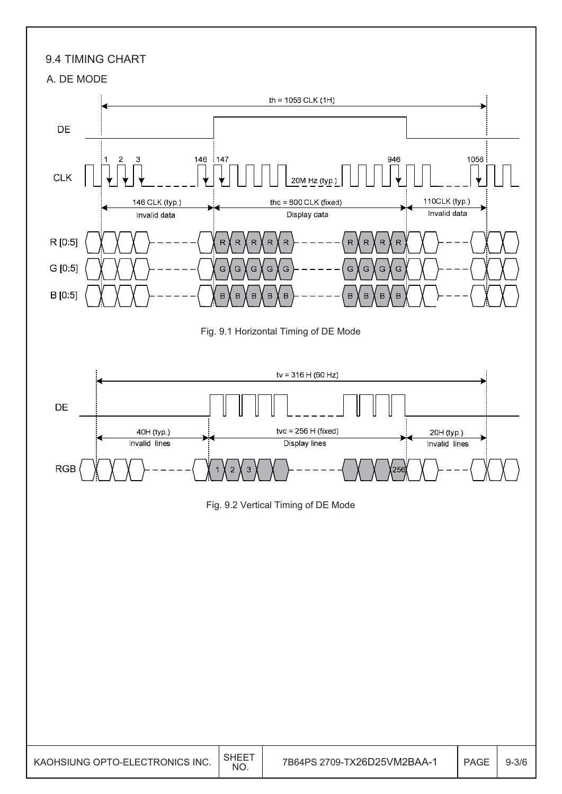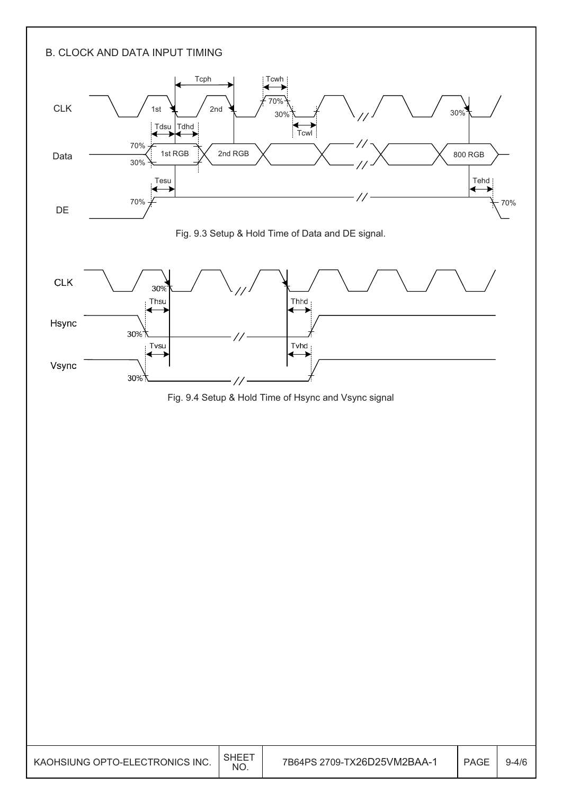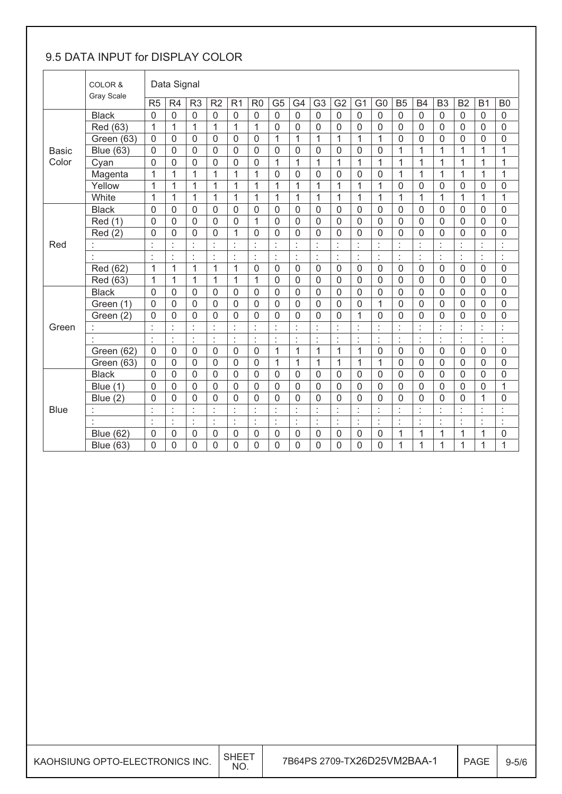### 9.5 DATA INPUT for DISPLAY COLOR

|              | COLOR &           |                | Data Signal    |                |                |                              |                |                |                |                |                |                      |                  |                  |                |                |                |                |                  |
|--------------|-------------------|----------------|----------------|----------------|----------------|------------------------------|----------------|----------------|----------------|----------------|----------------|----------------------|------------------|------------------|----------------|----------------|----------------|----------------|------------------|
|              | <b>Gray Scale</b> | R <sub>5</sub> | R <sub>4</sub> | R <sub>3</sub> | R <sub>2</sub> | R <sub>1</sub>               | R <sub>0</sub> | G <sub>5</sub> | G4             | G <sub>3</sub> | G <sub>2</sub> | G <sub>1</sub>       | G <sub>0</sub>   | B <sub>5</sub>   | <b>B4</b>      | B <sub>3</sub> | B <sub>2</sub> | <b>B1</b>      | B <sub>0</sub>   |
|              | <b>Black</b>      | $\mathbf 0$    | $\mathsf 0$    | $\mathbf 0$    | 0              | $\mathbf 0$                  | $\mathbf 0$    | $\overline{0}$ | $\mathbf 0$    | $\overline{0}$ | $\mathbf 0$    | $\overline{0}$       | $\boldsymbol{0}$ | $\mathbf 0$      | $\overline{0}$ | $\mathbf 0$    | $\mathbf 0$    | $\mathsf 0$    | 0                |
|              | Red (63)          | $\overline{1}$ | $\mathbf{1}$   | $\mathbf{1}$   | $\mathbf{1}$   | 1                            | 1              | $\mathbf 0$    | $\mathbf 0$    | 0              | 0              | 0                    | 0                | $\boldsymbol{0}$ | 0              | $\mathbf 0$    | 0              | 0              | 0                |
|              | Green (63)        | $\mathbf{0}$   | 0              | $\mathbf 0$    | 0              | 0                            | $\mathbf 0$    | 1              | $\mathbf{1}$   | 1              | 1              | $\mathbf{1}$         | 1                | $\mathbf 0$      | $\mathbf{0}$   | $\overline{0}$ | 0              | 0              | $\mathbf 0$      |
| <b>Basic</b> | <b>Blue (63)</b>  | $\mathbf 0$    | $\mathbf 0$    | $\mathbf 0$    | $\mathbf 0$    | $\mathbf 0$                  | $\mathbf 0$    | $\mathbf 0$    | $\mathbf 0$    | $\mathbf 0$    | $\mathbf 0$    | $\mathbf 0$          | $\mathbf 0$      | $\mathbf{1}$     | $\mathbf{1}$   | $\mathbf{1}$   | $\mathbf{1}$   | 1              | $\mathbf{1}$     |
| Color        | Cyan              | $\overline{0}$ | $\mathbf 0$    | $\mathbf 0$    | 0              | 0                            | $\mathbf 0$    | $\mathbf{1}$   | $\mathbf{1}$   | $\mathbf{1}$   | $\overline{1}$ | 1                    | 1                | $\overline{1}$   | $\overline{1}$ | $\overline{1}$ | 1              | $\mathbf{1}$   | 1                |
|              | Magenta           | 1              | 1              | 1              | 1              | 1                            | 1              | $\mathbf 0$    | 0              | 0              | 0              | 0                    | 0                | 1                | 1              | 1              | 1              | 1              | 1                |
|              | Yellow            | $\overline{1}$ | 1              | 1              | $\mathbf{1}$   | 1                            | 1              | 1              | $\mathbf{1}$   | 1              | 1              | 1                    | 1                | $\mathbf 0$      | $\mathbf{0}$   | $\mathbf 0$    | 0              | 0              | 0                |
|              | White             | $\overline{1}$ | $\mathbf{1}$   | $\overline{1}$ | $\mathbf{1}$   | 1                            | $\overline{1}$ | $\mathbf{1}$   | $\overline{1}$ | $\mathbf{1}$   | $\mathbf{1}$   | $\overline{1}$       | $\mathbf 1$      | 1                | $\mathbf{1}$   | $\overline{1}$ | $\mathbf{1}$   | $\overline{1}$ | $\mathbf{1}$     |
|              | <b>Black</b>      | $\mathbf 0$    | 0              | $\mathbf 0$    | 0              | 0                            | $\mathbf 0$    | $\mathbf 0$    | 0              | 0              | 0              | $\mathbf 0$          | 0                | $\mathbf 0$      | $\mathbf{0}$   | $\mathbf 0$    | 0              | 0              | 0                |
|              | <b>Red</b> (1)    | $\mathbf 0$    | $\overline{0}$ | $\mathbf 0$    | $\overline{0}$ | 0                            | $\mathbf{1}$   | $\overline{0}$ | $\mathbf 0$    | 0              | $\mathbf 0$    | $\mathbf 0$          | $\mathbf 0$      | $\mathbf 0$      | $\overline{0}$ | $\mathbf 0$    | $\overline{0}$ | $\overline{0}$ | $\mathbf 0$      |
|              | Red(2)            | $\overline{0}$ | $\mathbf 0$    | $\mathbf 0$    | 0              | 1                            | $\mathbf 0$    | $\mathbf 0$    | $\overline{0}$ | 0              | $\mathbf 0$    | $\mathbf 0$          | 0                | $\mathbf 0$      | 0              | $\overline{0}$ | $\mathbf 0$    | 0              | 0                |
| Red          |                   | ł              | $\epsilon$     | $\epsilon$     | Ì.             | $\epsilon$<br>$\blacksquare$ | t              | t              | $\cdot$        | ł,             | t              | ×                    | $\epsilon$<br>à, | $\bullet$        | t              | $\ddot{\cdot}$ | ×              | Ì              | ×,<br>ä,         |
|              | ł,                | ł,             | ċ              | $\ddot{\cdot}$ | ł,             | t                            | ÷              | ÷              | ÷              | ł,             | ÷              | ċ                    | ł,               | ÷                | ł.             | ÷              | t              | ł,             | ł,               |
|              | Red (62)          | $\mathbf{1}$   | $\overline{1}$ | $\overline{1}$ | $\mathbf{1}$   | 1                            | $\mathbf 0$    | $\overline{0}$ | $\overline{0}$ | $\mathbf 0$    | $\mathbf 0$    | $\overline{0}$       | $\mathbf 0$      | $\mathbf 0$      | $\overline{0}$ | $\mathbf 0$    | $\overline{0}$ | $\mathbf 0$    | $\mathbf 0$      |
|              | Red (63)          | $\mathbf{1}$   | 1              | 1              | $\mathbf{1}$   | 1                            | $\mathbf{1}$   | $\overline{0}$ | $\mathbf 0$    | 0              | $\mathbf 0$    | $\mathbf 0$          | 0                | $\boldsymbol{0}$ | $\overline{0}$ | $\mathbf 0$    | $\mathbf 0$    | 0              | 0                |
|              | <b>Black</b>      | $\overline{0}$ | $\mathbf 0$    | $\mathbf 0$    | 0              | 0                            | 0              | $\mathbf 0$    | $\mathbf 0$    | 0              | $\mathbf 0$    | $\mathbf 0$          | 0                | $\mathbf 0$      | 0              | $\mathbf 0$    | $\mathbf 0$    | $\mathbf 0$    | $\mathbf 0$      |
|              | Green (1)         | $\mathbf 0$    | $\mathbf 0$    | $\mathbf 0$    | 0              | 0                            | $\mathbf 0$    | $\overline{0}$ | $\mathbf 0$    | $\overline{0}$ | $\mathbf 0$    | 0                    | 1                | $\mathbf 0$      | $\overline{0}$ | $\mathbf 0$    | $\overline{0}$ | $\mathbf 0$    | $\boldsymbol{0}$ |
|              | Green (2)         | 0              | $\overline{0}$ | $\mathbf 0$    | 0              | 0                            | $\overline{0}$ | $\overline{0}$ | $\overline{0}$ | 0              | 0              | 1                    | 0                | $\mathbf 0$      | $\mathbf{0}$   | $\mathbf 0$    | $\mathbf{0}$   | 0              | $\mathbf 0$      |
| Green        |                   | t              | t              | $\vdots$       | Ì.             | t                            | t              | $\ddot{\cdot}$ | t              | t              | t              | $\ddot{\phantom{a}}$ | t                | t                | t              | t              | t              | t              | t,               |
|              |                   | $\epsilon$     | Ì              | ċ              | ł,             | ł,                           | ÷              | ÷              | $\epsilon$     | ¥,             | ÷              | $\blacksquare$       | ł,               | $\epsilon$       | ł,             | ÷              | $\blacksquare$ | ł,             | ł,               |
|              | Green (62)        | $\mathbf 0$    | $\mathbf 0$    | $\mathbf 0$    | 0              | $\mathbf 0$                  | $\mathbf 0$    | 1              | $\mathbf{1}$   | $\mathbf{1}$   | $\overline{1}$ | 1                    | 0                | $\mathbf 0$      | $\overline{0}$ | $\mathbf 0$    | $\mathbf 0$    | $\mathbf 0$    | $\mathbf 0$      |
|              | Green (63)        | $\mathbf{0}$   | $\overline{0}$ | $\overline{0}$ | 0              | $\mathbf 0$                  | $\mathbf 0$    | 1              | $\mathbf{1}$   | 1              | $\mathbf{1}$   | 1                    | 1                | $\mathbf 0$      | $\mathbf{0}$   | $\mathbf 0$    | 0              | 0              | 0                |
|              | <b>Black</b>      | $\mathbf 0$    | $\mathbf 0$    | $\overline{0}$ | $\Omega$       | $\mathbf{0}$                 | $\mathbf{0}$   | $\mathbf{0}$   | $\mathbf 0$    | 0              | $\mathbf{0}$   | $\mathbf{0}$         | $\Omega$         | $\mathbf 0$      | $\mathbf{0}$   | $\mathbf 0$    | $\mathbf 0$    | $\Omega$       | $\mathbf 0$      |
|              | Blue (1)          | $\overline{0}$ | $\mathbf 0$    | $\mathbf 0$    | 0              | $\mathbf 0$                  | $\overline{0}$ | $\overline{0}$ | $\mathbf 0$    | $\overline{0}$ | $\mathbf 0$    | $\mathbf 0$          | 0                | $\mathbf 0$      | $\overline{0}$ | $\mathbf 0$    | $\overline{0}$ | 0              | $\mathbf 1$      |
|              | Blue $(2)$        | $\overline{0}$ | $\overline{0}$ | $\overline{0}$ | 0              | 0                            | $\overline{0}$ | $\overline{0}$ | $\mathbf 0$    | $\overline{0}$ | $\overline{0}$ | $\mathbf{0}$         | 0                | $\mathbf 0$      | $\overline{0}$ | $\overline{0}$ | $\overline{0}$ | $\mathbf{1}$   | $\mathbf 0$      |
| <b>Blue</b>  |                   | t              | t              | t              | t              | t                            | t              | t              | t              | t              | t              | t                    | t                | t                | t              | t              | t              | t              | t                |
|              | ł.                | ł,             | ł.             | ÷              | l.             | ÷                            | ċ              | ċ              | ÷              | ł,             | ċ              | ċ                    | ł,               | ł,               | ł.             | ÷              | ċ              | ł              | l.               |
|              | <b>Blue (62)</b>  | $\mathbf 0$    | 0              | $\mathbf 0$    | 0              | 0                            | $\mathbf 0$    | 0              | $\mathbf 0$    | 0              | 0              | 0                    | $\mathbf 0$      | 1                | 1              | $\mathbf{1}$   | 1              | 1              | 0                |
|              | <b>Blue (63)</b>  | $\overline{0}$ | $\mathbf 0$    | $\mathbf 0$    | 0              | 0                            | $\mathbf 0$    | $\mathbf 0$    | $\mathbf 0$    | 0              | $\overline{0}$ | $\mathbf 0$          | 0                | $\overline{1}$   | 1              | 1              | 1              | $\overline{1}$ | 1                |

| KAOHSIUNG OPTO-ELECTRONICS INC. | <b>SHEET</b><br>NO. | 7B64PS 2709-TX26D25VM2BAA-1 | <b>PAGE</b> | $9 - 5/6$ |
|---------------------------------|---------------------|-----------------------------|-------------|-----------|
|                                 |                     |                             |             |           |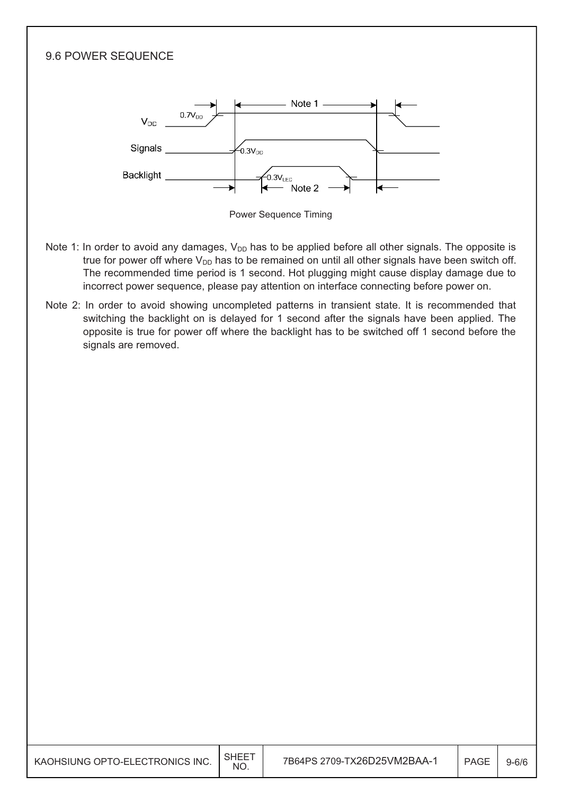

| KAOHSIUNG OPTO-ELECTRONICS INC. | <b>SHEE</b><br><b>NO</b> | 7B64PS 2709-TX26D25VM2BAA-1 | <b>PAGE</b> | $9 - 6/6$ |
|---------------------------------|--------------------------|-----------------------------|-------------|-----------|
|---------------------------------|--------------------------|-----------------------------|-------------|-----------|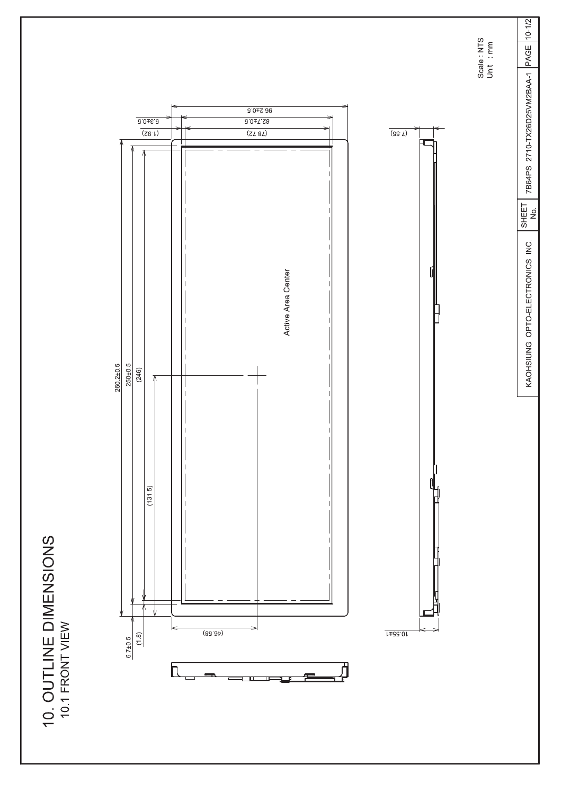10. OUTLINE DIMENSIONS



Scale NTS<br>Unit mm

7B64PS 2710-TX26D25VM2BAA-1 PAGE 10-1/2

 $SHEET$ 

KAOHSIUNG OPTO-ELECTRONICS INC.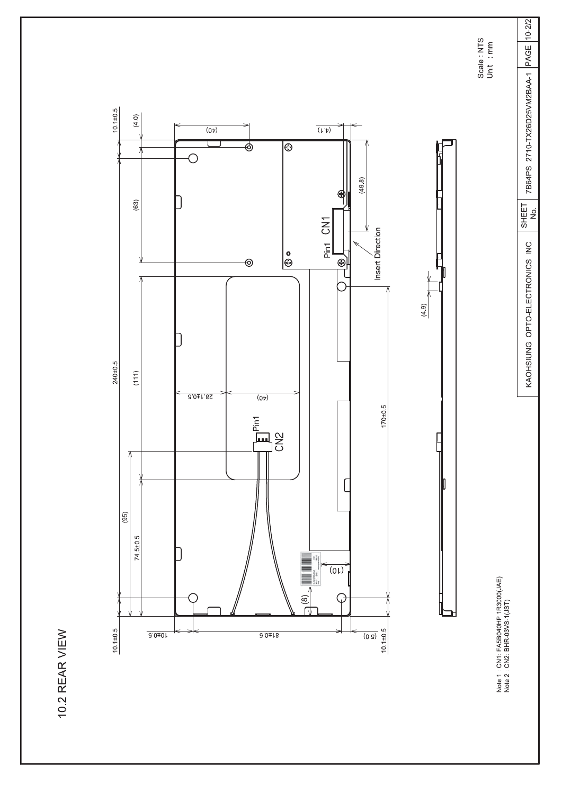10.2 REAR VIEW



Note 1 : CN1: FA5B040HP 1R3000(JAE)<br>Note 2 : CN2: BHR-03VS-1(JST)

Scale NTS<br>Unit mm

7B64PS 2710-TX26D25VM2BAA-1 PAGE 10-2/2

 $\overline{\begin{array}{c} \text{SHEET} \\ \text{NO} \end{array}}$ 

KAOHSIUNG OPTO-ELECTRONICS INC.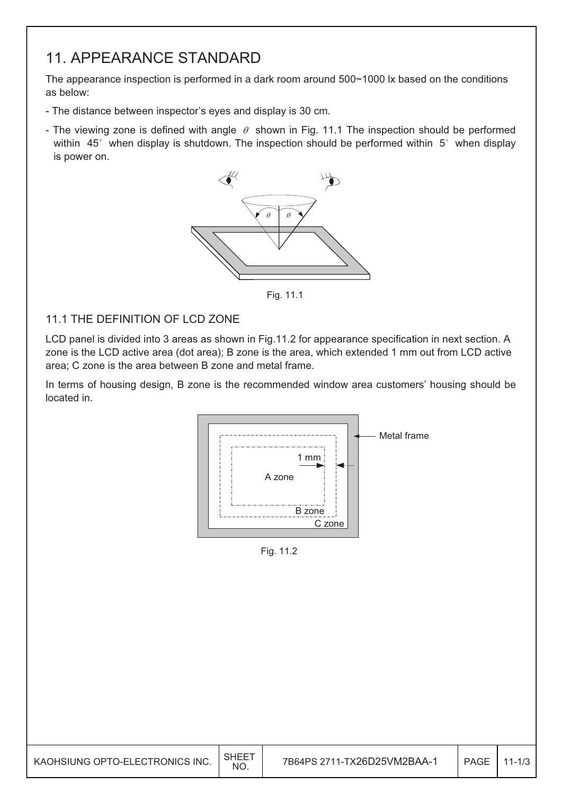### 11. APPEARANCE STANDARD

The appearance inspection is performed in a dark room around 500~1000 lx based on the conditions as below:

- The distance between inspector's eyes and display is 30 cm.
- The viewing zone is defined with angle  $\theta$  shown in Fig. 11.1 The inspection should be performed within  $45^\circ$  when display is shutdown. The inspection should be performed within  $5^\circ$  when display is power on.



Fig. 11.1

#### 11.1 THE DEFINITION OF LCD ZONE

LCD panel is divided into 3 areas as shown in Fig.11.2 for appearance specification in next section. A zone is the LCD active area (dot area); B zone is the area, which extended 1 mm out from LCD active area; C zone is the area between B zone and metal frame.

In terms of housing design, B zone is the recommended window area customers' housing should be located in.



Fig. 11.2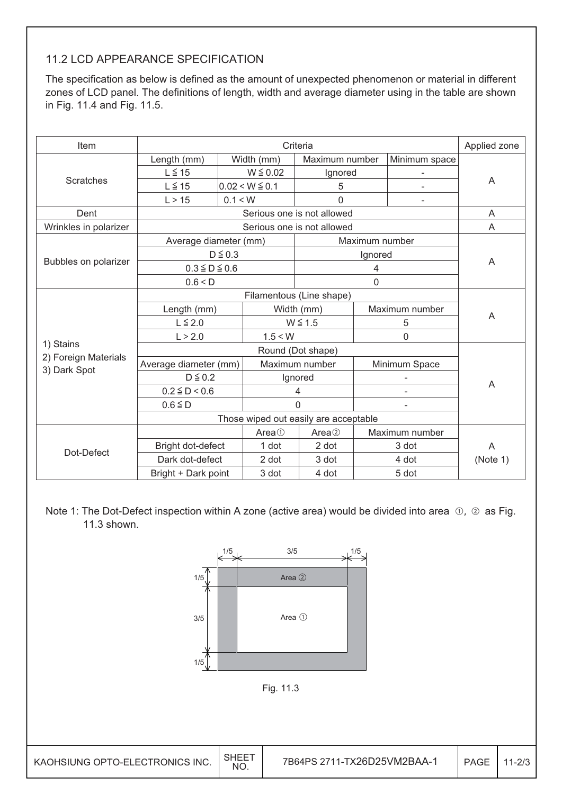#### 11.2 LCD APPEARANCE SPECIFICATION

The specification as below is defined as the amount of unexpected phenomenon or material in different zones of LCD panel. The definitions of length, width and average diameter using in the table are shown in Fig. 11.4 and Fig. 11.5.

| Item                  |                       |               |                    | Criteria                              |                |                          | Applied zone |  |
|-----------------------|-----------------------|---------------|--------------------|---------------------------------------|----------------|--------------------------|--------------|--|
|                       | Length (mm)           |               | Width (mm)         | Maximum number                        |                | Minimum space            |              |  |
|                       | $L \leq 15$           | $W \leq 0.02$ |                    | Ignored                               |                |                          |              |  |
| <b>Scratches</b>      | $L \leq 15$           |               | $0.02 < W \le 0.1$ | 5                                     |                |                          | A            |  |
|                       | L > 15                | 0.1 < W       |                    | 0                                     |                |                          |              |  |
| Dent                  |                       |               |                    | Serious one is not allowed            |                |                          | A            |  |
| Wrinkles in polarizer |                       |               |                    | Serious one is not allowed            |                |                          | A            |  |
|                       | Average diameter (mm) |               |                    |                                       | Maximum number |                          |              |  |
|                       |                       | $D \leq 0.3$  |                    |                                       | Ignored        |                          |              |  |
| Bubbles on polarizer  | $0.3 \leq D \leq 0.6$ |               |                    | 4                                     |                | A                        |              |  |
|                       | 0.6 < D               |               |                    |                                       |                |                          |              |  |
|                       |                       |               |                    |                                       |                |                          |              |  |
|                       | Length (mm)           |               | Width (mm)         |                                       | Maximum number |                          |              |  |
|                       | $L \leq 2.0$          |               |                    | $W \leq 1.5$                          |                | 5                        | A            |  |
|                       | L > 2.0               |               | 1.5 < W            |                                       |                | 0                        |              |  |
| 1) Stains             |                       |               |                    |                                       |                |                          |              |  |
| 2) Foreign Materials  | Average diameter (mm) |               |                    | Maximum number                        |                | Minimum Space            |              |  |
| 3) Dark Spot          | $D \leq 0.2$          |               |                    | Ignored                               |                |                          |              |  |
|                       | $0.2 \le D < 0.6$     |               |                    | 4                                     |                | $\overline{\phantom{a}}$ | A            |  |
|                       | $0.6 \leq D$          |               |                    | $\Omega$                              |                | $\overline{\phantom{a}}$ |              |  |
|                       |                       |               |                    | Those wiped out easily are acceptable |                |                          |              |  |
|                       |                       |               | Area <sup>①</sup>  | Area <sup>2</sup>                     |                | Maximum number           |              |  |
|                       | Bright dot-defect     |               | 1 dot              | 2 dot                                 |                | 3 dot                    | A            |  |
| Dot-Defect            | Dark dot-defect       |               | 2 dot              | 3 dot                                 |                | 4 dot                    | (Note 1)     |  |
|                       | Bright + Dark point   |               | 3 dot              | 4 dot                                 |                | 5 dot                    |              |  |

Note 1: The Dot-Defect inspection within A zone (active area) would be divided into area  $\odot$ ,  $\odot$  as Fig. 11.3 shown.

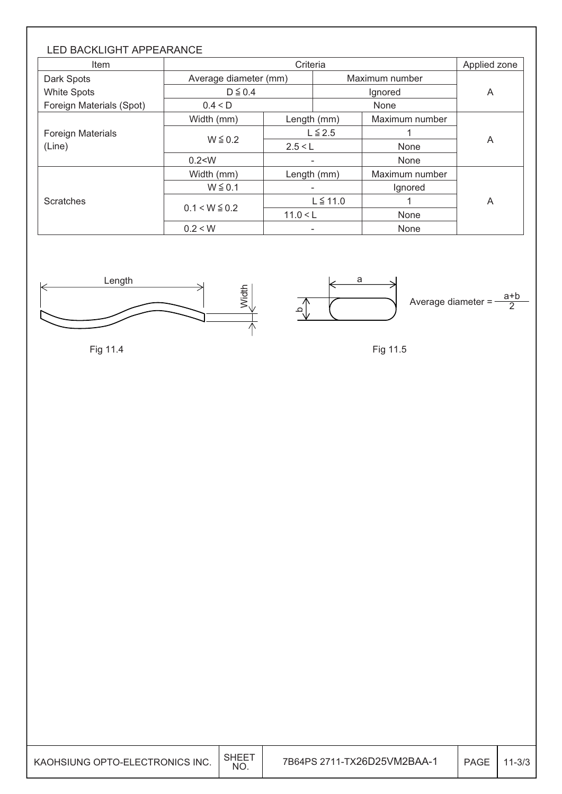| <b>LED BACKLIGHT APPEARANCE</b><br><b>Item</b> |                       | Criteria    |               |                |   |  |  |  |
|------------------------------------------------|-----------------------|-------------|---------------|----------------|---|--|--|--|
| Dark Spots                                     | Average diameter (mm) |             |               | Maximum number |   |  |  |  |
| <b>White Spots</b>                             | $D \leq 0.4$          |             |               | A              |   |  |  |  |
| Foreign Materials (Spot)                       | 0.4 < D               |             |               | None           |   |  |  |  |
|                                                | Width (mm)            | Length (mm) |               | Maximum number |   |  |  |  |
| <b>Foreign Materials</b>                       |                       |             | $L \leq 2.5$  |                | A |  |  |  |
| (Line)                                         | $W \leq 0.2$          | 2.5 < L     |               | None           |   |  |  |  |
|                                                | 0.2 < W               |             | None<br>٠     |                |   |  |  |  |
|                                                | Width (mm)            |             | Length (mm)   | Maximum number |   |  |  |  |
|                                                | $W \leq 0.1$          |             |               | Ignored        |   |  |  |  |
| <b>Scratches</b>                               |                       |             | $L \leq 11.0$ |                | A |  |  |  |
|                                                | $0.1 < W \le 0.2$     | 11.0 < L    |               | None           |   |  |  |  |
|                                                | 0.2 < W               |             |               | None           |   |  |  |  |



Fig 11.4

a ِم Average diameter  $=$  $rac{a+b}{2}$ 

Fig 11.5

| KAOHSIUNG OPTO-ELECTRONICS INC. | <b>SHEET</b><br>NO. | <b>PAGE</b> | 1-3/3 |
|---------------------------------|---------------------|-------------|-------|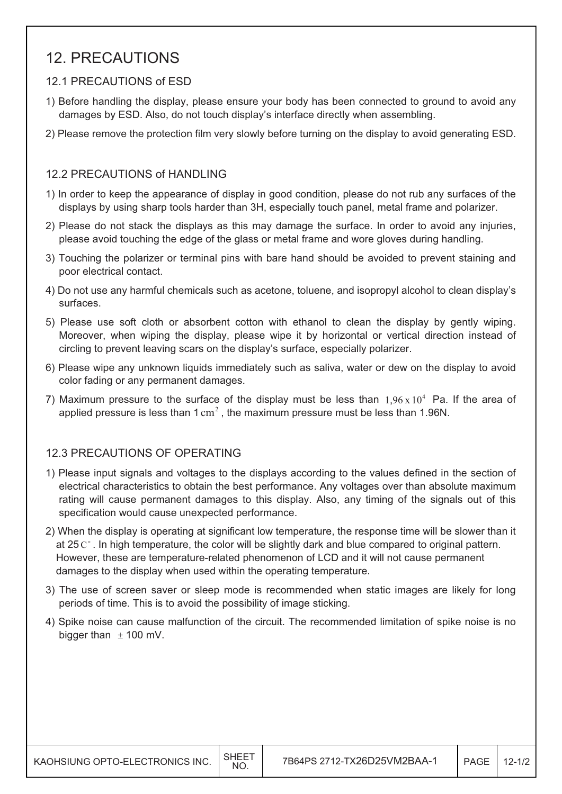### 12. PRECAUTIONS

#### 12.1 PRECAUTIONS of ESD

- 1) Before handling the display, please ensure your body has been connected to ground to avoid any damages by ESD. Also, do not touch display's interface directly when assembling.
- 2) Please remove the protection film very slowly before turning on the display to avoid generating ESD.

#### 12.2 PRECAUTIONS of HANDLING

- 1) In order to keep the appearance of display in good condition, please do not rub any surfaces of the displays by using sharp tools harder than 3H, especially touch panel, metal frame and polarizer.
- 2) Please do not stack the displays as this may damage the surface. In order to avoid any injuries, please avoid touching the edge of the glass or metal frame and wore gloves during handling.
- 3) Touching the polarizer or terminal pins with bare hand should be avoided to prevent staining and poor electrical contact.
- 4) Do not use any harmful chemicals such as acetone, toluene, and isopropyl alcohol to clean display's surfaces.
- 5) Please use soft cloth or absorbent cotton with ethanol to clean the display by gently wiping. Moreover, when wiping the display, please wipe it by horizontal or vertical direction instead of circling to prevent leaving scars on the display's surface, especially polarizer.
- 6) Please wipe any unknown liquids immediately such as saliva, water or dew on the display to avoid color fading or any permanent damages.
- 7) Maximum pressure to the surface of the display must be less than  $1.96 \times 10^4$  Pa. If the area of applied pressure is less than  $1 \text{ cm}^2$ , the maximum pressure must be less than 1.96N.

#### 12.3 PRECAUTIONS OF OPERATING

- 1) Please input signals and voltages to the displays according to the values defined in the section of electrical characteristics to obtain the best performance. Any voltages over than absolute maximum rating will cause permanent damages to this display. Also, any timing of the signals out of this specification would cause unexpected performance.
- 2) When the display is operating at significant low temperature, the response time will be slower than it at 25  $\mathrm{C}^{\circ}$ . In high temperature, the color will be slightly dark and blue compared to original pattern. However, these are temperature-related phenomenon of LCD and it will not cause permanent damages to the display when used within the operating temperature.
- 3) The use of screen saver or sleep mode is recommended when static images are likely for long periods of time. This is to avoid the possibility of image sticking.
- 4) Spike noise can cause malfunction of the circuit. The recommended limitation of spike noise is no bigger than  $\pm$  100 mV.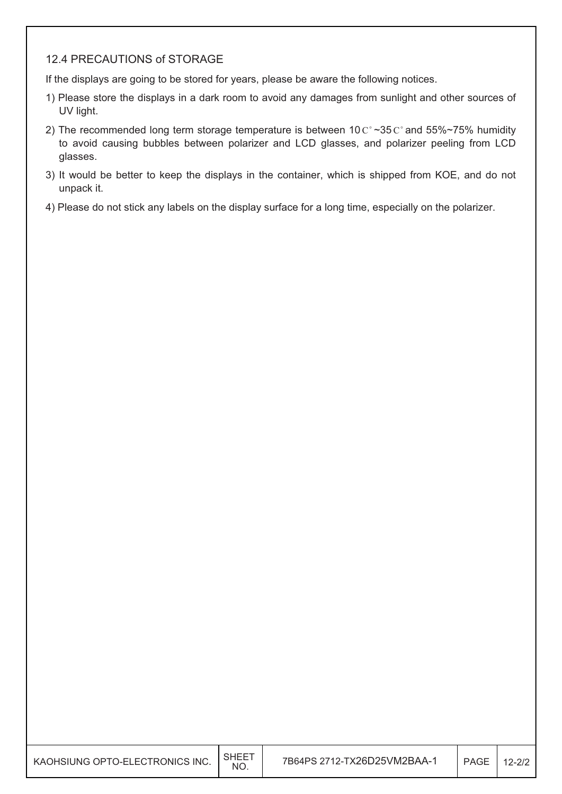#### 12.4 PRECAUTIONS of STORAGE

If the displays are going to be stored for years, please be aware the following notices.

- 1) Please store the displays in a dark room to avoid any damages from sunlight and other sources of UV light.
- 2) The recommended long term storage temperature is between  $10 \degree \degree 35 \degree \degree$  and 55%~75% humidity to avoid causing bubbles between polarizer and LCD glasses, and polarizer peeling from LCD glasses.
- 3) It would be better to keep the displays in the container, which is shipped from KOE, and do not unpack it.
- 4) Please do not stick any labels on the display surface for a long time, especially on the polarizer.

| KAOHSIUNG OPTO-ELECTRONICS INC. | <b>NO</b> | 7B64PS 2712-TX26D25VM2BAA-1 | PAGE | $12 - 2/2$ |
|---------------------------------|-----------|-----------------------------|------|------------|
|                                 |           |                             |      |            |